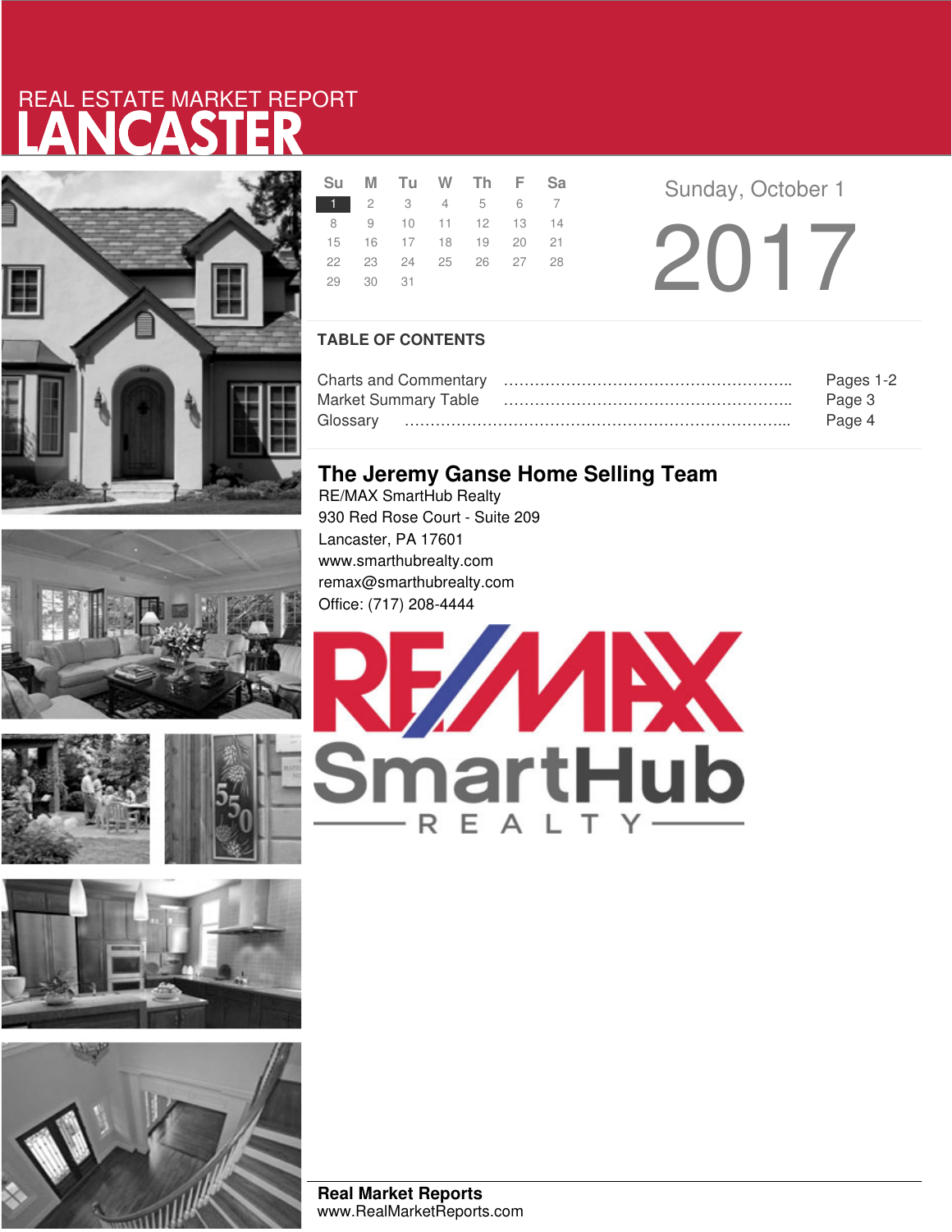# LANCASTER REAL ESTATE MARKET REPORT



|          | Su M Tu W Th F Sa    |  |  |  |  |
|----------|----------------------|--|--|--|--|
|          | 1 2 3 4 5 6 7        |  |  |  |  |
|          | 8 9 10 11 12 13 14   |  |  |  |  |
|          | 15 16 17 18 19 20 21 |  |  |  |  |
|          | 22 23 24 25 26 27 28 |  |  |  |  |
| 29 30 31 |                      |  |  |  |  |
|          |                      |  |  |  |  |

**Sunday, October 1** 2017

### **TABLE OF CONTENTS**

|                             | Pages 1-2 |
|-----------------------------|-----------|
| <b>Market Summary Table</b> | Page 3    |
|                             | Page 4    |

## **The Jeremy Ganse Home Selling Team**

RE/MAX SmartHub Realty 930 Red Rose Court - Suite 209 Lancaster, PA 17601 www.smarthubrealty.com remax@smarthubrealty.com Office: (717) 208-4444







**Real Market Reports** www.RealMarketReports.com

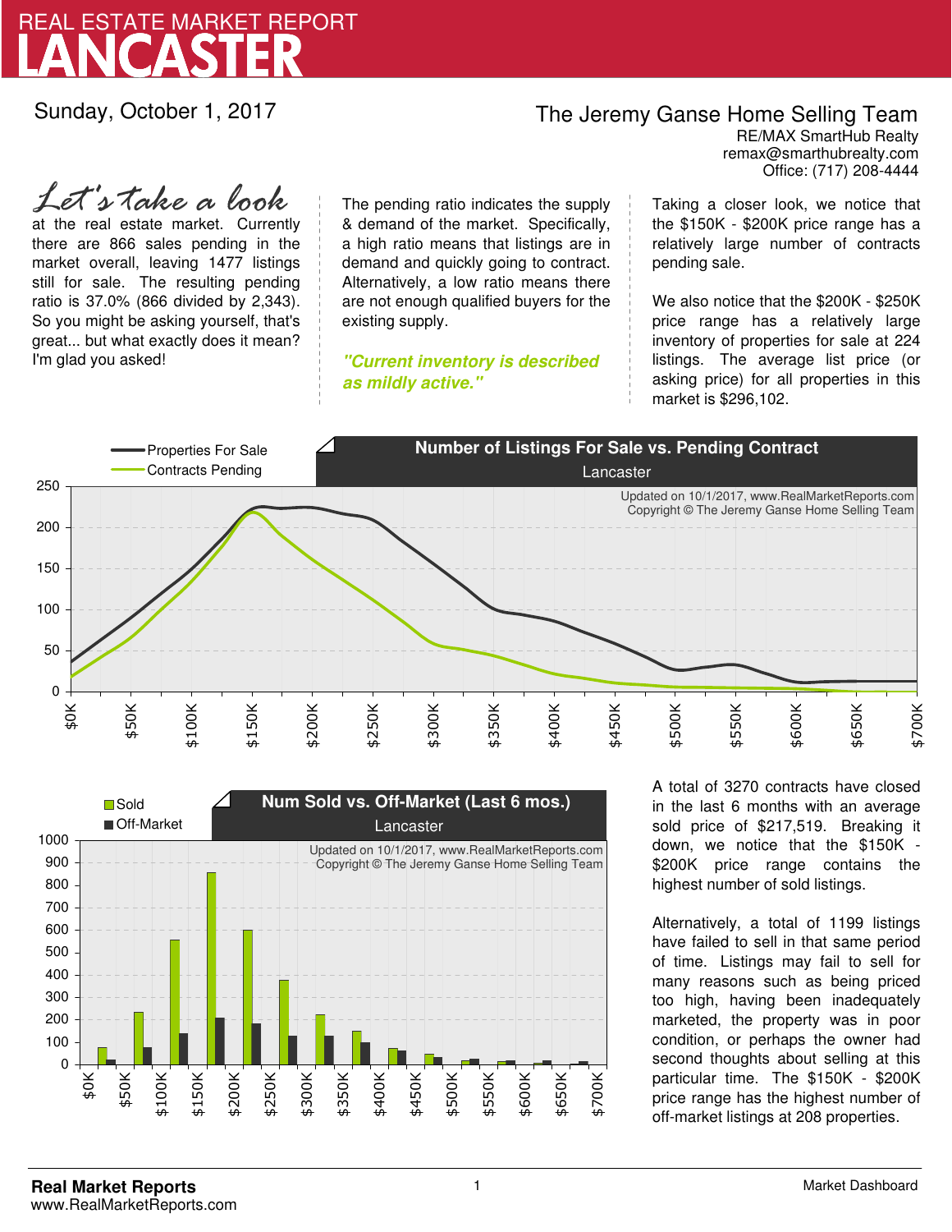

Sunday, October 1, 2017

## The Jeremy Ganse Home Selling Team

remax@smarthubrealty.com RE/MAX SmartHub Realty Office: (717) 208-4444

at the real estate market. Currently there are 866 sales pending in the market overall, leaving 1477 listings still for sale. The resulting pending ratio is 37.0% (866 divided by 2,343). So you might be asking yourself, that's great... but what exactly does it mean? I'm glad you asked! *Let's take a look*

The pending ratio indicates the supply & demand of the market. Specifically, a high ratio means that listings are in demand and quickly going to contract. Alternatively, a low ratio means there are not enough qualified buyers for the existing supply.

**"Current inventory is described as mildly active."**

Taking a closer look, we notice that the \$150K - \$200K price range has a relatively large number of contracts pending sale.

We also notice that the \$200K - \$250K price range has a relatively large inventory of properties for sale at 224 listings. The average list price (or asking price) for all properties in this market is \$296,102.





A total of 3270 contracts have closed in the last 6 months with an average sold price of \$217,519. Breaking it down, we notice that the \$150K - \$200K price range contains the highest number of sold listings.

Alternatively, a total of 1199 listings have failed to sell in that same period of time. Listings may fail to sell for many reasons such as being priced too high, having been inadequately marketed, the property was in poor condition, or perhaps the owner had second thoughts about selling at this particular time. The \$150K - \$200K price range has the highest number of off-market listings at 208 properties.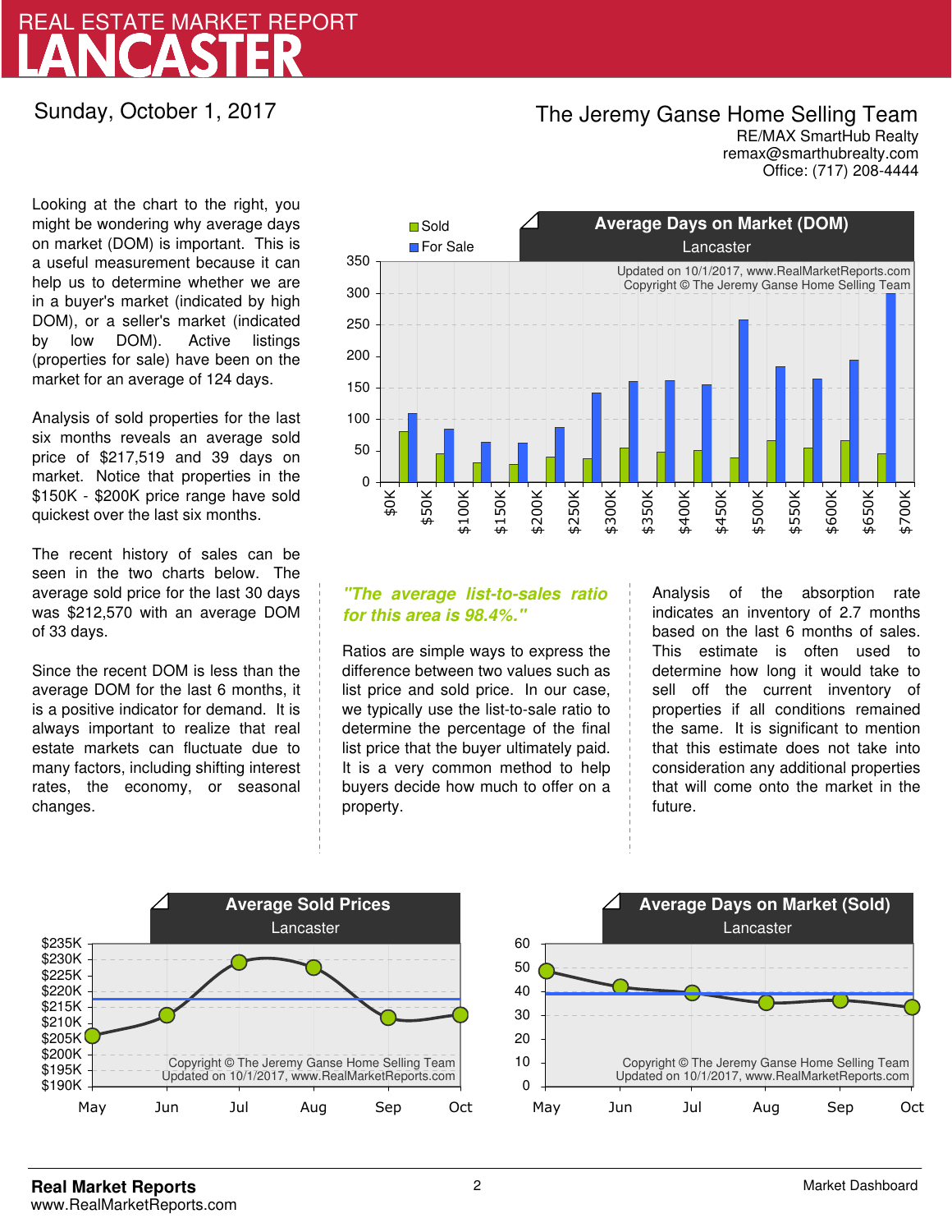# LANCASTER REAL ESTATE MARKET REPORT

### Sunday, October 1, 2017

## The Jeremy Ganse Home Selling Team

remax@smarthubrealty.com RE/MAX SmartHub Realty Office: (717) 208-4444

Looking at the chart to the right, you might be wondering why average days on market (DOM) is important. This is a useful measurement because it can help us to determine whether we are in a buyer's market (indicated by high DOM), or a seller's market (indicated by low DOM). Active listings (properties for sale) have been on the market for an average of 124 days.

Analysis of sold properties for the last six months reveals an average sold price of \$217,519 and 39 days on market. Notice that properties in the \$150K - \$200K price range have sold quickest over the last six months.

The recent history of sales can be seen in the two charts below. The average sold price for the last 30 days was \$212,570 with an average DOM of 33 days.

Since the recent DOM is less than the average DOM for the last 6 months, it is a positive indicator for demand. It is always important to realize that real estate markets can fluctuate due to many factors, including shifting interest rates, the economy, or seasonal changes.



### **"The average list-to-sales ratio for this area is 98.4%."**

Ratios are simple ways to express the difference between two values such as list price and sold price. In our case, we typically use the list-to-sale ratio to determine the percentage of the final list price that the buyer ultimately paid. It is a very common method to help buyers decide how much to offer on a property.

Analysis of the absorption rate indicates an inventory of 2.7 months based on the last 6 months of sales. This estimate is often used to determine how long it would take to sell off the current inventory of properties if all conditions remained the same. It is significant to mention that this estimate does not take into consideration any additional properties that will come onto the market in the future.



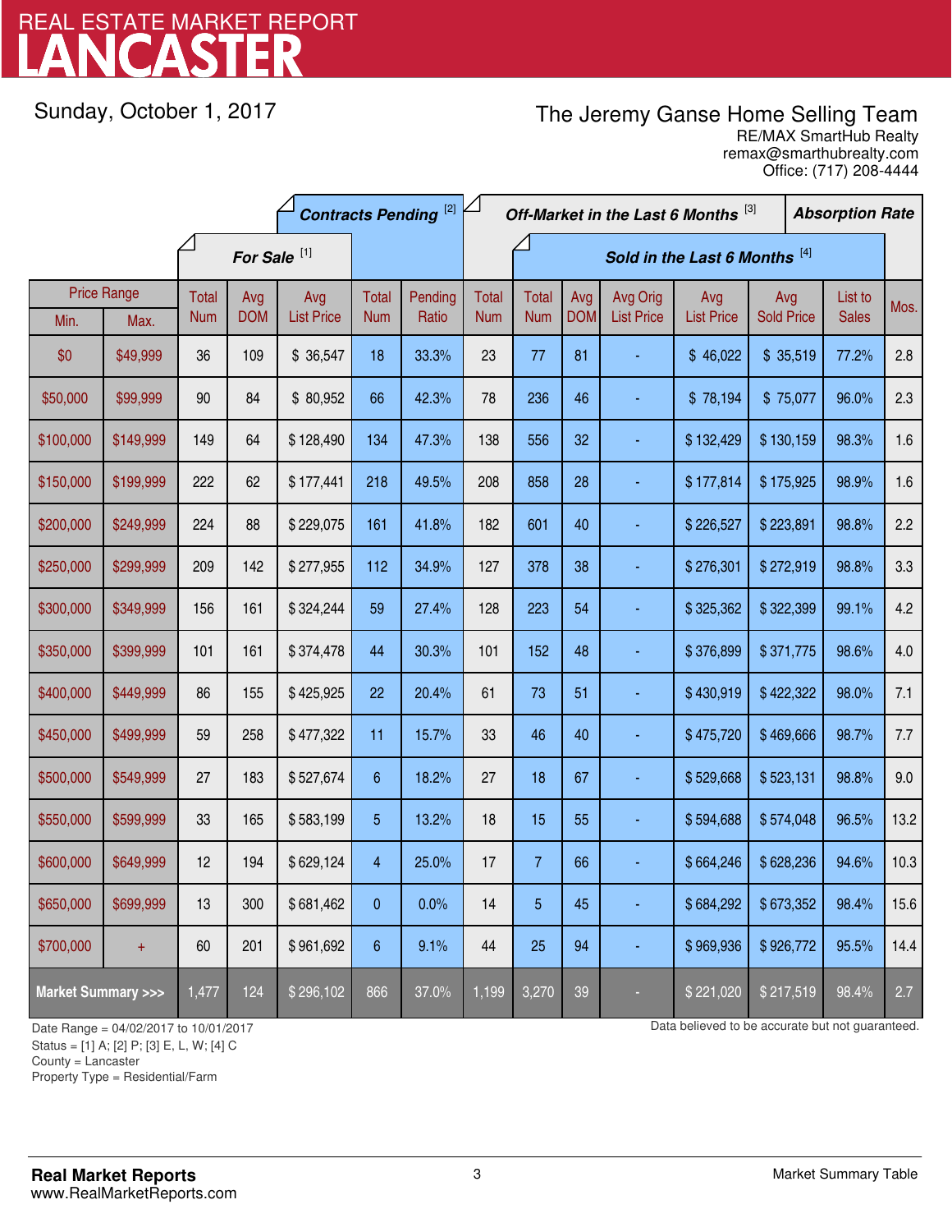# LANCASTER REAL ESTATE MARKET REPORT

Sunday, October 1, 2017

## The Jeremy Ganse Home Selling Team

remax@smarthubrealty.com RE/MAX SmartHub Realty Office: (717) 208-4444

|                                    |                    | <b>Contracts Pending [2]</b> |            |                   |                 |         | Off-Market in the Last 6 Months [3] |                |            |                   |                   | <b>Absorption Rate</b> |  |              |      |
|------------------------------------|--------------------|------------------------------|------------|-------------------|-----------------|---------|-------------------------------------|----------------|------------|-------------------|-------------------|------------------------|--|--------------|------|
|                                    |                    | For Sale <sup>[1]</sup>      |            |                   |                 |         | Sold in the Last 6 Months [4]       |                |            |                   |                   |                        |  |              |      |
|                                    | <b>Price Range</b> | <b>Total</b>                 | Avg        | Avg               | Total           | Pending | Total                               | <b>Total</b>   | Avg        | Avg Orig          | Avg               | Avg                    |  | List to      | Mos. |
| Min.                               | Max.               | <b>Num</b>                   | <b>DOM</b> | <b>List Price</b> | <b>Num</b>      | Ratio   | <b>Num</b>                          | <b>Num</b>     | <b>DOM</b> | <b>List Price</b> | <b>List Price</b> | <b>Sold Price</b>      |  | <b>Sales</b> |      |
| \$0                                | \$49,999           | 36                           | 109        | \$36,547          | 18              | 33.3%   | 23                                  | 77             | 81         |                   | \$46,022          | \$35,519               |  | 77.2%        | 2.8  |
| \$50,000                           | \$99,999           | 90                           | 84         | \$80,952          | 66              | 42.3%   | 78                                  | 236            | 46         |                   | \$78,194          | \$75,077               |  | 96.0%        | 2.3  |
| \$100,000                          | \$149,999          | 149                          | 64         | \$128,490         | 134             | 47.3%   | 138                                 | 556            | 32         |                   | \$132,429         | \$130,159              |  | 98.3%        | 1.6  |
| \$150,000                          | \$199,999          | 222                          | 62         | \$177,441         | 218             | 49.5%   | 208                                 | 858            | 28         | ä,                | \$177,814         | \$175,925              |  | 98.9%        | 1.6  |
| \$200,000                          | \$249,999          | 224                          | 88         | \$229,075         | 161             | 41.8%   | 182                                 | 601            | 40         |                   | \$226,527         | \$223,891              |  | 98.8%        | 2.2  |
| \$250,000                          | \$299,999          | 209                          | 142        | \$277,955         | 112             | 34.9%   | 127                                 | 378            | 38         |                   | \$276,301         | \$272,919              |  | 98.8%        | 3.3  |
| \$300,000                          | \$349,999          | 156                          | 161        | \$324,244         | 59              | 27.4%   | 128                                 | 223            | 54         |                   | \$325,362         | \$322,399              |  | 99.1%        | 4.2  |
| \$350,000                          | \$399,999          | 101                          | 161        | \$374,478         | 44              | 30.3%   | 101                                 | 152            | 48         |                   | \$376,899         | \$371,775              |  | 98.6%        | 4.0  |
| \$400,000                          | \$449,999          | 86                           | 155        | \$425,925         | 22              | 20.4%   | 61                                  | 73             | 51         |                   | \$430,919         | \$422,322              |  | 98.0%        | 7.1  |
| \$450,000                          | \$499,999          | 59                           | 258        | \$477,322         | 11              | 15.7%   | 33                                  | 46             | 40         |                   | \$475,720         | \$469,666              |  | 98.7%        | 7.7  |
| \$500,000                          | \$549,999          | 27                           | 183        | \$527,674         | $6\phantom{.}6$ | 18.2%   | 27                                  | 18             | 67         |                   | \$529,668         | \$523,131              |  | 98.8%        | 9.0  |
| \$550,000                          | \$599,999          | 33                           | 165        | \$583,199         | 5               | 13.2%   | 18                                  | 15             | 55         |                   | \$594,688         | \$574,048              |  | 96.5%        | 13.2 |
| \$600,000                          | \$649,999          | 12                           | 194        | \$629,124         | $\overline{4}$  | 25.0%   | 17                                  | $\overline{7}$ | 66         |                   | \$664,246         | \$628,236              |  | 94.6%        | 10.3 |
| \$650,000                          | \$699,999          | 13                           | 300        | \$681,462         | 0               | 0.0%    | 14                                  | 5              | 45         |                   | \$684,292         | \$673,352              |  | 98.4%        | 15.6 |
| \$700,000                          | $\ddot{}$          | 60                           | 201        | \$961,692         | $6\phantom{1}$  | 9.1%    | 44                                  | 25             | 94         | ٠                 | \$969,936         | \$926,772              |  | 95.5%        | 14.4 |
| <b>Market Summary &gt;&gt;&gt;</b> |                    | 1,477                        | 124        | \$296,102         | 866             | 37.0%   | 1,199                               | 3,270          | 39         |                   | \$221,020         | \$217,519              |  | 98.4%        | 2.7  |

County = Lancaster

-

Property Type = Residential/Farm

Date Range = 04/02/2017 to 10/01/2017 **Date Range = 04/02/2017 b** 10/01/2017

Status = [1] A; [2] P; [3] E, L, W; [4] C